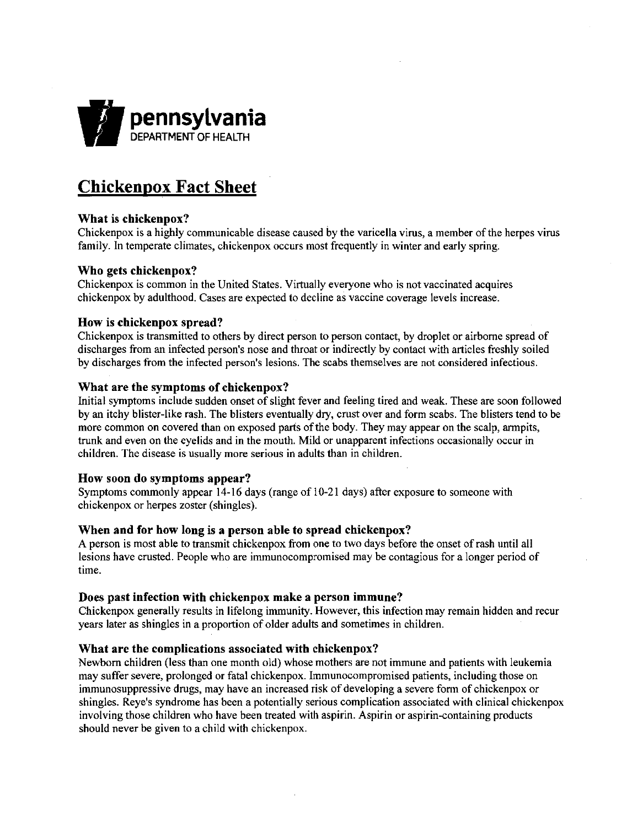

# **Chickenpox Fact Sheet**

# What is chickenpox?

Chickenpox is a highly communicable disease caused by the varicella virus, a member of the herpes virus family. In temperate climates, chickenpox occurs most frequently in winter and early spring.

## Who gets chickenpox?

Chickenpox is common in the United States. Virtually everyone who is not vaccinated acquires chickenpox by adulthood. Cases are expected to decline as vaccine coverage levels increase.

#### How is chickenpox spread?

Chickenpox is transmitted to others by direct person to person contact, by droplet or airborne spread of discharges from an infected person's nose and throat or indirectly by contact with articles freshly soiled by discharges from the infected person's lesions. The scabs themselves are not considered infectious.

#### What are the symptoms of chickenpox?

Initial symptoms include sudden onset of slight fever and feeling tired and weak. These are soon followed by an itchy blister-like rash. The blisters eventually dry, crust over and form scabs. The blisters tend to be more common on covered than on exposed parts of the body. They may appear on the scalp, armpits, trunk and even on the eyelids and in the mouth. Mild or unapparent infections occasionally occur in children. The disease is usually more serious in adults than in children.

#### How soon do symptoms appear?

Symptoms commonly appear 14-16 days (range of 10-21 days) after exposure to someone with chickenpox or herpes zoster (shingles).

# When and for how long is a person able to spread chickenpox?

A person is most able to transmit chickenpox from one to two days before the onset of rash until all lesions have crusted. People who are immunocompromised may be contagious for a longer period of time.

#### Does past infection with chickenpox make a person immune?

Chickenpox generally results in lifelong immunity. However, this infection may remain hidden and recur years later as shingles in a proportion of older adults and sometimes in children.

#### What are the complications associated with chickenpox?

Newborn children (less than one month old) whose mothers are not immune and patients with leukemia may suffer severe, prolonged or fatal chickenpox. Immunocompromised patients, including those on immunosuppressive drugs, may have an increased risk of developing a severe form of chickenpox or shingles. Reye's syndrome has been a potentially serious complication associated with clinical chickenpox involving those children who have been treated with aspirin. Aspirin or aspirin-containing products should never be given to a child with chickenpox.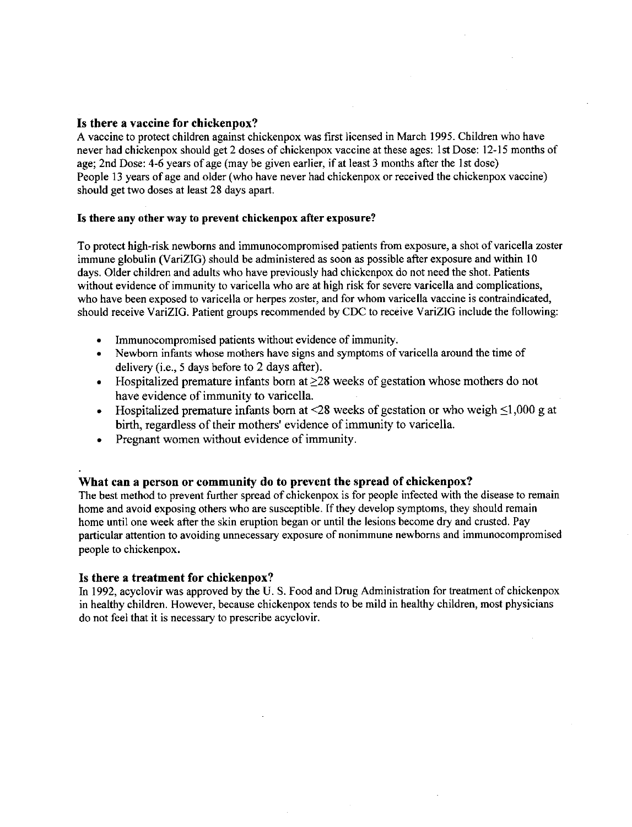# Is there a vaccine for chickenpox?

A vaccine to protect children against chickenpox was first licensed in March 1995. Children who have never had chickenpox should get 2 doses of chickenpox vaccine at these ages: 1st Dose: 12-15 months of age; 2nd Dose: 4-6 years of age (may be given earlier, if at least 3 months after the 1st dose) People 13 years of age and older (who have never had chickenpox or received the chickenpox vaccine) should get two doses at least 28 days apart.

#### Is there any other way to prevent chickenpox after exposure?

To protect high-risk newborns and immunocompromised patients from exposure, a shot of varicella zoster immune globulin (VariZIG) should be administered as soon as possible after exposure and within 10 days. Older children and adults who have previously had chickenpox do not need the shot. Patients without evidence of immunity to varicella who are at high risk for severe varicella and complications, who have been exposed to varicella or herpes zoster, and for whom varicella vaccine is contraindicated, should receive VariZIG. Patient groups recommended by CDC to receive VariZIG include the following:

- Immunocompromised patients without evidence of immunity.
- Newborn infants whose mothers have signs and symptoms of varicella around the time of delivery (i.e., 5 days before to 2 days after).
- Hospitalized premature infants born at  $\geq 28$  weeks of gestation whose mothers do not have evidence of immunity to varicella.
- Hospitalized premature infants born at <28 weeks of gestation or who weigh  $\leq 1,000$  g at birth, regardless of their mothers' evidence of immunity to varicella.
- Pregnant women without evidence of immunity.

# What can a person or community do to prevent the spread of chickenpox?

The best method to prevent further spread of chickenpox is for people infected with the disease to remain home and avoid exposing others who are susceptible. If they develop symptoms, they should remain home until one week after the skin eruption began or until the lesions become dry and crusted. Pay particular attention to avoiding unnecessary exposure of nonimmune newborns and immunocompromised people to chickenpox.

#### Is there a treatment for chickenpox?

In 1992, acyclovir was approved by the U. S. Food and Drug Administration for treatment of chickenpox in healthy children. However, because chickenpox tends to be mild in healthy children, most physicians do not feel that it is necessary to prescribe acyclovir.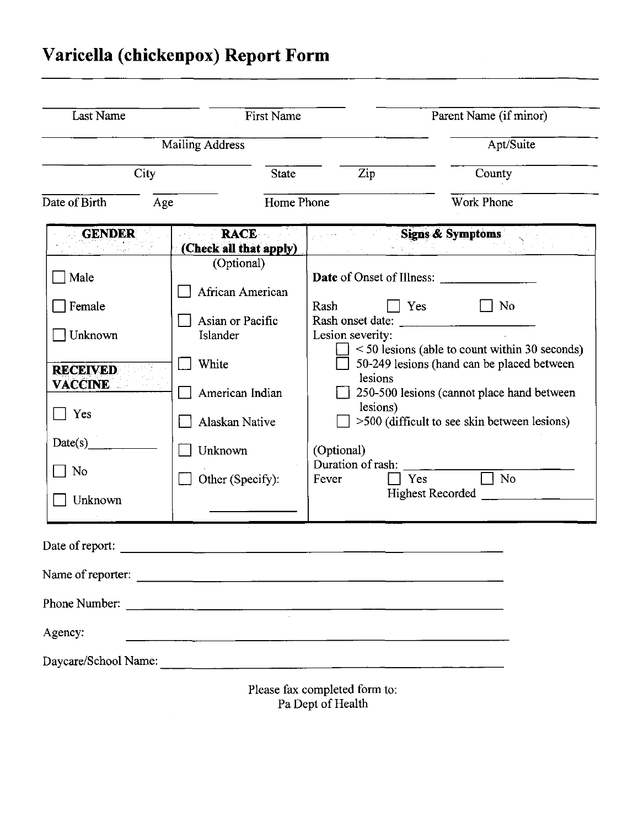# **Varicella (chickenpox) Report Form**

| Last Name<br>First Name<br><b>Mailing Address</b>                                          |                                                                                                              | Parent Name (if minor)<br>Apt/Suite             |                                                                                                                                                                                                                                                                     |
|--------------------------------------------------------------------------------------------|--------------------------------------------------------------------------------------------------------------|-------------------------------------------------|---------------------------------------------------------------------------------------------------------------------------------------------------------------------------------------------------------------------------------------------------------------------|
|                                                                                            |                                                                                                              |                                                 |                                                                                                                                                                                                                                                                     |
| Date of Birth<br>Age                                                                       | Home Phone                                                                                                   |                                                 | <b>Work Phone</b>                                                                                                                                                                                                                                                   |
| <b>GENDER</b>                                                                              | <b>RACE</b><br>(Check all that apply)                                                                        |                                                 | <b>Signs &amp; Symptoms</b>                                                                                                                                                                                                                                         |
| Male<br>Female<br>$\exists$ Unknown<br><b>RECEIVED</b><br><b>VACCINE</b><br>Yes<br>Date(s) | (Optional)<br>African American<br>Asian or Pacific<br>Islander<br>White<br>American Indian<br>Alaskan Native | Rash<br>Lesion severity:<br>lesions<br>lesions) | <b>Date</b> of Onset of Illness:<br>No<br>Yes<br>Rash onset date:<br>$\le$ 50 lesions (able to count within 30 seconds)<br>50-249 lesions (hand can be placed between<br>250-500 lesions (cannot place hand between<br>>500 (difficult to see skin between lesions) |
| No<br>Unknown                                                                              | Unknown<br>Other (Specify):                                                                                  | (Optional)<br>Duration of rash:<br>Fever        | No<br>Yes<br><b>Highest Recorded</b>                                                                                                                                                                                                                                |
| Date of report:                                                                            |                                                                                                              |                                                 |                                                                                                                                                                                                                                                                     |
|                                                                                            | Name of reporter:                                                                                            |                                                 |                                                                                                                                                                                                                                                                     |
|                                                                                            | Phone Number:                                                                                                |                                                 |                                                                                                                                                                                                                                                                     |
| Agency:                                                                                    |                                                                                                              |                                                 |                                                                                                                                                                                                                                                                     |
|                                                                                            |                                                                                                              | Please fax completed form to:                   |                                                                                                                                                                                                                                                                     |

Pa Dept of Health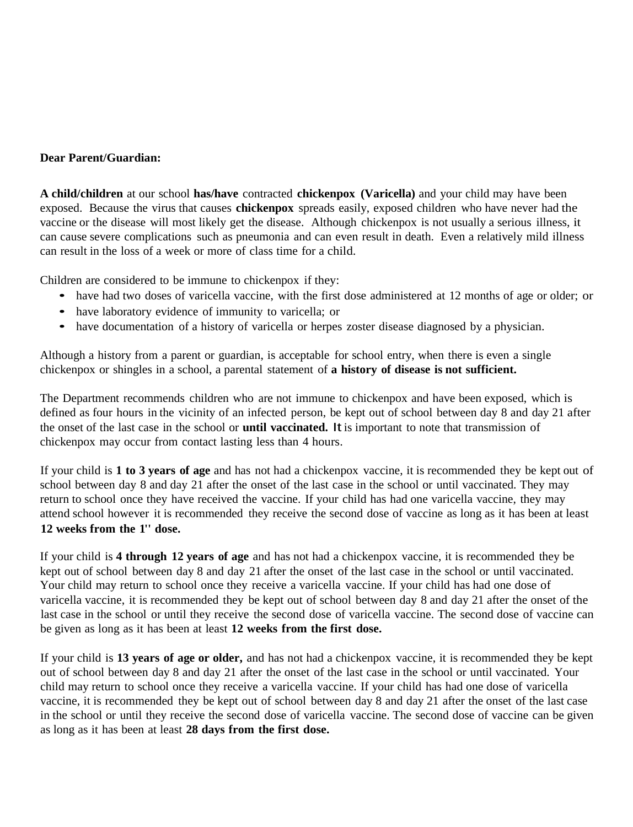# **Dear Parent/Guardian:**

**A child/children** at our school **has/have** contracted **chickenpox (Varicella)** and your child may have been exposed. Because the virus that causes **chickenpox** spreads easily, exposed children who have never had the vaccine or the disease will most likely get the disease. Although chickenpox is not usually a serious illness, it can cause severe complications such as pneumonia and can even result in death. Even a relatively mild illness can result in the loss of a week or more of class time for a child.

Children are considered to be immune to chickenpox if they:

- have had two doses of varicella vaccine, with the first dose administered at <sup>12</sup> months of age or older; or
- have laboratory evidence of immunity to varicella; or
- have documentation of <sup>a</sup> history of varicella or herpes zoster disease diagnosed by <sup>a</sup> physician.

Although a history from a parent or guardian, is acceptable for school entry, when there is even a single chickenpox or shingles in a school, a parental statement of **a history of disease is not sufficient.**

The Department recommends children who are not immune to chickenpox and have been exposed, which is defined as four hours in the vicinity of an infected person, be kept out of school between day 8 and day 21 after the onset of the last case in the school or **until vaccinated.** It is important to note that transmission of chickenpox may occur from contact lasting less than 4 hours.

If your child is **1 to 3 years of age** and has not had a chickenpox vaccine, it is recommended they be kept out of school between day 8 and day 21 after the onset of the last case in the school or until vaccinated. They may return to school once they have received the vaccine. If your child has had one varicella vaccine, they may attend school however it is recommended they receive the second dose of vaccine as long as it has been at least **12 weeks from the 1'' dose.**

If your child is **4 through 12 years of age** and has not had a chickenpox vaccine, it is recommended they be kept out of school between day 8 and day 21 after the onset of the last case in the school or until vaccinated. Your child may return to school once they receive a varicella vaccine. If your child has had one dose of varicella vaccine, it is recommended they be kept out of school between day 8 and day 21 after the onset of the last case in the school or until they receive the second dose of varicella vaccine. The second dose of vaccine can be given as long as it has been at least **12 weeks from the first dose.**

If your child is **13 years of age or older,** and has not had a chickenpox vaccine, it is recommended they be kept out of school between day 8 and day 21 after the onset of the last case in the school or until vaccinated. Your child may return to school once they receive a varicella vaccine. If your child has had one dose of varicella vaccine, it is recommended they be kept out of school between day 8 and day 21 after the onset of the last case in the school or until they receive the second dose of varicella vaccine. The second dose of vaccine can be given as long as it has been at least **28 days from the first dose.**